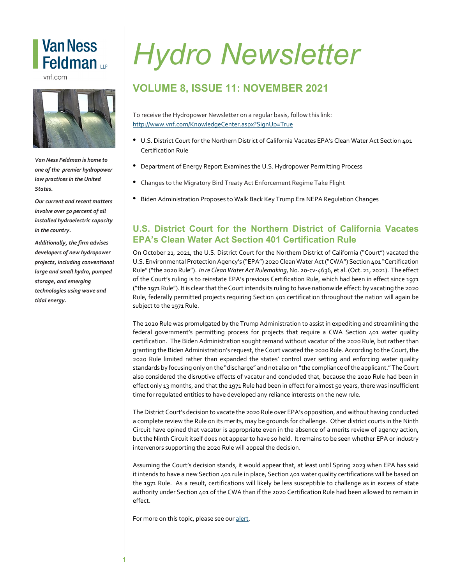## **Van Ness** Feldman LLP

vnf.com



*Van Ness Feldman is home to one of the premier hydropower law practices in the United States.* 

involve over 50 percent of all  $\emph{installed hydroelectric capacity}$ *Our current and recent matters in the country.*

*Additionally, the firm advises developers of new hydropower projects, including conventional large and small hydro, pumped storage, and emerging technologies using wave and tidal energy.*

# *Hydro Newsletter*

### **VOLUME 8, ISSUE 11: NOVEMBER 2021**

To receive the Hydropower Newsletter on a regular basis, follow this link: <http://www.vnf.com/KnowledgeCenter.aspx?SignUp=True>

- U.S. District Court for the Northern District of California Vacates EPA's Clean Water Act Section 401 Certification Rule
- Department of Energy Report Examines the U.S. Hydropower Permitting Process
- Changes to the Migratory Bird Treaty Act Enforcement Regime Take Flight
- Biden Administration Proposes to Walk Back Key Trump Era NEPA Regulation Changes

#### **U.S. District Court for the Northern District of California Vacates EPA's Clean Water Act Section 401 Certification Rule**

On October 21, 2021, the U.S. District Court for the Northern District of California ("Court") vacated the U.S. Environmental Protection Agency's ("EPA") 2020 Clean WaterAct("CWA") Section 401 "Certification Rule"("the 2020 Rule"). *In re Clean Water Act Rulemaking*,No. 20-cv-4636, et al. (Oct. 21, 2021). The effect of the Court's ruling is to reinstate EPA's previous Certification Rule, which had been in effect since 1971 ("the 1971 Rule"). Itis clearthatthe Courtintends its ruling to have nationwide effect: by vacating the 2020 Rule, federally permitted projects requiring Section 401 certification throughout the nation will again be subject to the 1971 Rule.

The 2020 Rule was promulgated by the Trump Administration to assist in expediting and streamlining the federal government's permitting process for projects that require a CWA Section 401 water quality certification. The Biden Administration sought remand without vacatur of the 2020 Rule, but rather than granting the Biden Administration's request, the Court vacated the 2020 Rule. According to the Court, the 2020 Rule limited rather than expanded the states' control over setting and enforcing water quality standards by focusing only on the "discharge" and not also on "the compliance ofthe applicant." The Court also considered the disruptive effects of vacatur and concluded that, because the 2020 Rule had been in effect only 13 months, and that the 1971 Rule had been in effect for almost 50 years, there was insufficient time for regulated entities to have developed any reliance interests on the new rule.

The District Court's decision to vacate the 2020 Rule over EPA's opposition, and without having conducted a complete review the Rule on its merits, may be grounds for challenge. Other district courts in the Ninth Circuit have opined that vacatur is appropriate even in the absence of a merits review of agency action, but the Ninth Circuit itself does not appear to have so held. It remains to be seen whether EPA or industry intervenors supporting the 2020 Rule will appeal the decision.

Assuming the Court's decision stands, it would appear that, at least until Spring 2023 when EPA has said it intends to have a new Section 401 rule in place, Section 401 water quality certifications will be based on the 1971 Rule. As a result, certifications will likely be less susceptible to challenge as in excess of state authority under Section 401 of the CWA than if the 2020 Certification Rule had been allowed to remain in effect.

For more on this topic, please see our [alert.](https://www.vnf.com/us-district-court-for-the-northern-district-of-california-vacates-epas-clean-water-act-section-401-certification-rule)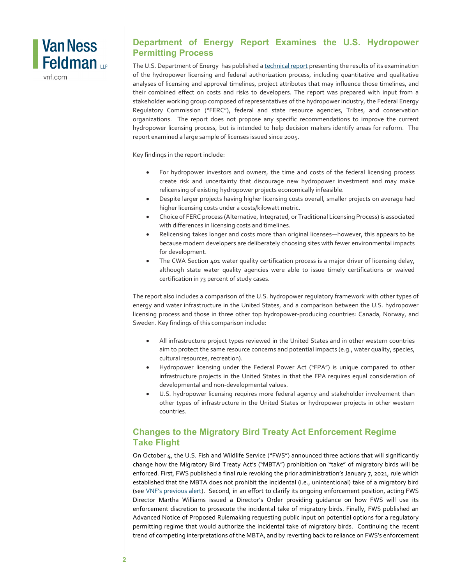

vnf.com

#### **Department of Energy Report Examines the U.S. Hydropower Permitting Process**

The U.S. Department of Energy has published [a technical report](https://www.nrel.gov/docs/fy22osti/79242.pdf) presenting the results of its examination of the hydropower licensing and federal authorization process, including quantitative and qualitative analyses of licensing and approval timelines, project attributes that may influence those timelines, and their combined effect on costs and risks to developers. The report was prepared with input from a stakeholder working group composed of representatives of the hydropower industry, the Federal Energy Regulatory Commission ("FERC"), federal and state resource agencies, Tribes, and conservation organizations. The report does not propose any specific recommendations to improve the current hydropower licensing process, but is intended to help decision makers identify areas for reform. The report examined a large sample of licenses issued since 2005.

Key findings in the report include:

- For hydropower investors and owners, the time and costs of the federal licensing process create risk and uncertainty that discourage new hydropower investment and may make relicensing of existing hydropower projects economically infeasible.
- Despite larger projects having higher licensing costs overall, smaller projects on average had higher licensing costs under a costs/kilowatt metric.
- Choice of FERC process (Alternative, Integrated, or Traditional Licensing Process) is associated with differences in licensing costs and timelines.
- Relicensing takes longer and costs more than original licenses—however, this appears to be because modern developers are deliberately choosing sites with fewer environmental impacts for development.
- The CWA Section 401 water quality certification process is a major driver of licensing delay, although state water quality agencies were able to issue timely certifications or waived certification in 73 percent of study cases.

The report also includes a comparison of the U.S. hydropower regulatory framework with other types of energy and water infrastructure in the United States, and a comparison between the U.S. hydropower licensing process and those in three other top hydropower-producing countries: Canada, Norway, and Sweden. Key findings of this comparison include:

- All infrastructure project types reviewed in the United States and in other western countries aim to protect the same resource concerns and potential impacts (e.g., water quality, species, cultural resources, recreation).
- Hydropower licensing under the Federal Power Act ("FPA") is unique compared to other infrastructure projects in the United States in that the FPA requires equal consideration of developmental and non-developmental values.
- U.S. hydropower licensing requires more federal agency and stakeholder involvement than other types of infrastructure in the United States or hydropower projects in other western countries.

#### **Changes to the Migratory Bird Treaty Act Enforcement Regime Take Flight**

On October 4, the U.S. Fish and Wildlife Service ("FWS") announced three actions that will significantly change how the Migratory Bird Treaty Act's ("MBTA") prohibition on "take" of migratory birds will be enforced. First, FWS published a final rule revoking the prior administration's January 7, 2021, rule which established that the MBTA does not prohibit the incidental (i.e., unintentional) take of a migratory bird (see VNF's [previous](https://www.vnf.com/final-migratory-bird-treaty-act-ruling-faces-substantial-hurdles) alert). Second, in an effort to clarify its ongoing enforcement position, acting FWS Director Martha Williams issued a Director's Order providing guidance on how FWS will use its enforcement discretion to prosecute the incidental take of migratory birds. Finally, FWS published an Advanced Notice of Proposed Rulemaking requesting public input on potential options for a regulatory permitting regime that would authorize the incidental take of migratory birds. Continuing the recent trend of competing interpretations of the MBTA, and by reverting back to reliance on FWS's enforcement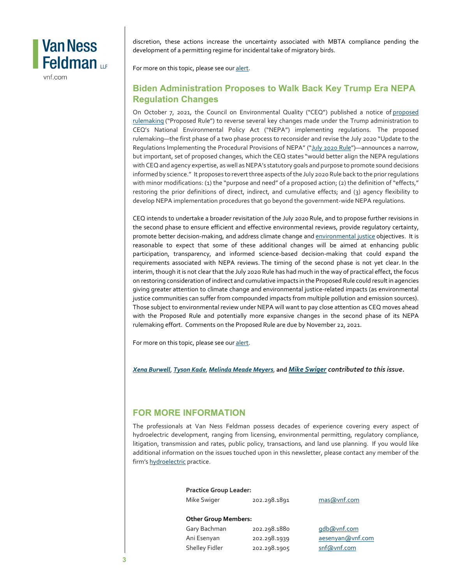

vnf.com

discretion, these actions increase the uncertainty associated with MBTA compliance pending the development of a permitting regime for incidental take of migratory birds.

For more on this topic, please see our [alert.](https://www.vnf.com/changes-to-the-migratory-bird-treaty-act-enforcement-regime-take-flight)

#### **Biden Administration Proposes to Walk Back Key Trump Era NEPA Regulation Changes**

On October 7, 2021, the Council on Environmental Quality ("CEQ") published a notice of proposed [rulemaking](https://www.federalregister.gov/documents/2021/10/07/2021-21867/national-environmental-policy-act-implementing-regulations-revisions) ("Proposed Rule") to reverse several key changes made under the Trump administration to CEQ's National Environmental Policy Act ("NEPA") implementing regulations. The proposed rulemaking—the first phase of a two phase process to reconsider and revise the July 2020 "Update to the Regulations Implementing the Procedural Provisions of NEPA" (["July 2020 Rule"](https://www.govinfo.gov/content/pkg/FR-2020-07-16/pdf/2020-15179.pdf))—announces a narrow, but important, set of proposed changes, which the CEQ states "would better align the NEPA regulations with CEQ and agency expertise, as well as NEPA's statutory goals and purpose to promote sound decisions informed by science." It proposes to revert three aspects of the July 2020 Rule back to the prior regulations with minor modifications: (1) the "purpose and need" of a proposed action; (2) the definition of "effects," restoring the prior definitions of direct, indirect, and cumulative effects; and (3) agency flexibility to develop NEPA implementation procedures that go beyond the government-wide NEPA regulations.

CEQ intends to undertake a broader revisitation of the July 2020 Rule, and to propose further revisions in the second phase to ensure efficient and effective environmental reviews, provide regulatory certainty, promote better decision-making, and address climate change and [environmental justice](https://www.vnf.com/environmental-justice-policy-gains-momentum-under-the-biden-administration) objectives. It is reasonable to expect that some of these additional changes will be aimed at enhancing public participation, transparency, and informed science-based decision-making that could expand the requirements associated with NEPA reviews. The timing of the second phase is not yet clear. In the interim, though it is not clear that the July 2020 Rule has had much in the way of practical effect, the focus on restoring consideration of indirect and cumulative impacts in the Proposed Rule could result in agencies giving greater attention to climate change and environmental justice-related impacts (as environmental justice communities can suffer from compounded impacts from multiple pollution and emission sources). Those subject to environmental review under NEPA will want to pay close attention as CEQ moves ahead with the Proposed Rule and potentially more expansive changes in the second phase of its NEPA rulemaking effort. Comments on the Proposed Rule are due by November 22, 2021.

For more on this topic, please see our [alert.](https://www.vnf.com/biden-administration-proposes-to-walk-back-key-trump-era-nepa-regulation-changes)

*[Xena Burwell](mailto:xburwell@vnf.com)*, *[Tyson Kade](https://www.vnf.com/tkade)*, *[Melinda Meade Meyers](https://www.vnf.com/mmeademeyers)*, **and** *[Mike Swiger](https://www.vnf.com/mswiger) contributed to this issue.* 

#### **FOR MORE INFORMATION**

The professionals at Van Ness Feldman possess decades of experience covering every aspect of hydroelectric development, ranging from licensing, environmental permitting, regulatory compliance, litigation, transmission and rates, public policy, transactions, and land use planning. If you would like additional information on the issues touched upon in this newsletter, please contact any member of the firm's [hydroelectric](http://www.vnf.com/hydropower) practice.

| <b>Practice Group Leader:</b> |              |                  |
|-------------------------------|--------------|------------------|
| Mike Swiger                   | 202.298.1891 | mas@vnf.com      |
| <b>Other Group Members:</b>   |              |                  |
| Gary Bachman                  | 202.298.1880 | qdb@vnf.com      |
| Ani Esenyan                   | 202.298.1939 | aesenyan@vnf.com |
| <b>Shelley Fidler</b>         | 202.298.1905 | snf@vnf.com      |
|                               |              |                  |